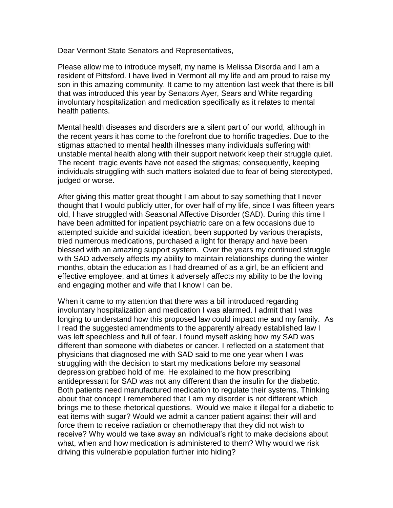Dear Vermont State Senators and Representatives,

Please allow me to introduce myself, my name is Melissa Disorda and I am a resident of Pittsford. I have lived in Vermont all my life and am proud to raise my son in this amazing community. It came to my attention last week that there is bill that was introduced this year by Senators Ayer, Sears and White regarding involuntary hospitalization and medication specifically as it relates to mental health patients.

Mental health diseases and disorders are a silent part of our world, although in the recent years it has come to the forefront due to horrific tragedies. Due to the stigmas attached to mental health illnesses many individuals suffering with unstable mental health along with their support network keep their struggle quiet. The recent tragic events have not eased the stigmas; consequently, keeping individuals struggling with such matters isolated due to fear of being stereotyped, judged or worse.

After giving this matter great thought I am about to say something that I never thought that I would publicly utter, for over half of my life, since I was fifteen years old, I have struggled with Seasonal Affective Disorder (SAD). During this time I have been admitted for inpatient psychiatric care on a few occasions due to attempted suicide and suicidal ideation, been supported by various therapists, tried numerous medications, purchased a light for therapy and have been blessed with an amazing support system. Over the years my continued struggle with SAD adversely affects my ability to maintain relationships during the winter months, obtain the education as I had dreamed of as a girl, be an efficient and effective employee, and at times it adversely affects my ability to be the loving and engaging mother and wife that I know I can be.

When it came to my attention that there was a bill introduced regarding involuntary hospitalization and medication I was alarmed. I admit that I was longing to understand how this proposed law could impact me and my family. As I read the suggested amendments to the apparently already established law I was left speechless and full of fear. I found myself asking how my SAD was different than someone with diabetes or cancer. I reflected on a statement that physicians that diagnosed me with SAD said to me one year when I was struggling with the decision to start my medications before my seasonal depression grabbed hold of me. He explained to me how prescribing antidepressant for SAD was not any different than the insulin for the diabetic. Both patients need manufactured medication to regulate their systems. Thinking about that concept I remembered that I am my disorder is not different which brings me to these rhetorical questions. Would we make it illegal for a diabetic to eat items with sugar? Would we admit a cancer patient against their will and force them to receive radiation or chemotherapy that they did not wish to receive? Why would we take away an individual's right to make decisions about what, when and how medication is administered to them? Why would we risk driving this vulnerable population further into hiding?